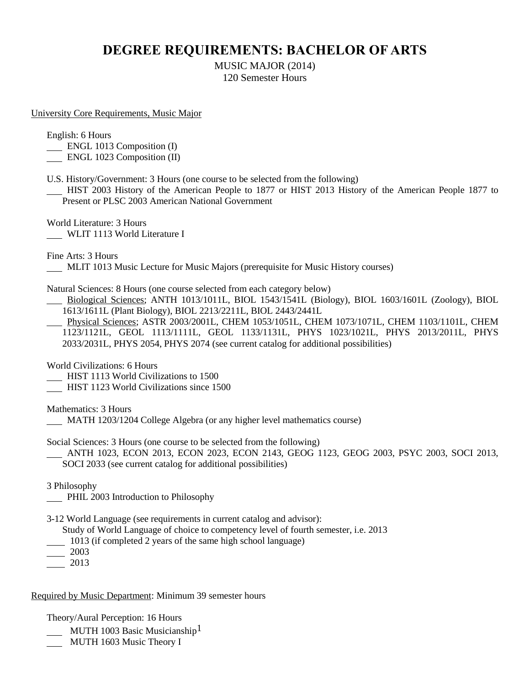## **DEGREE REQUIREMENTS: BACHELOR OF ARTS**

MUSIC MAJOR (2014) 120 Semester Hours

University Core Requirements, Music Major

English: 6 Hours

**ENGL 1013 Composition (I)** 

ENGL 1023 Composition (II)

U.S. History/Government: 3 Hours (one course to be selected from the following)

 HIST 2003 History of the American People to 1877 or HIST 2013 History of the American People 1877 to Present or PLSC 2003 American National Government

World Literature: 3 Hours WLIT 1113 World Literature I

Fine Arts: 3 Hours

MLIT 1013 Music Lecture for Music Majors (prerequisite for Music History courses)

Natural Sciences: 8 Hours (one course selected from each category below)

 Biological Sciences; ANTH 1013/1011L, BIOL 1543/1541L (Biology), BIOL 1603/1601L (Zoology), BIOL 1613/1611L (Plant Biology), BIOL 2213/2211L, BIOL 2443/2441L

 Physical Sciences; ASTR 2003/2001L, CHEM 1053/1051L, CHEM 1073/1071L, CHEM 1103/1101L, CHEM 1123/1121L, GEOL 1113/1111L, GEOL 1133/1131L, PHYS 1023/1021L, PHYS 2013/2011L, PHYS 2033/2031L, PHYS 2054, PHYS 2074 (see current catalog for additional possibilities)

World Civilizations: 6 Hours

HIST 1113 World Civilizations to 1500

**HIST 1123 World Civilizations since 1500** 

Mathematics: 3 Hours

MATH 1203/1204 College Algebra (or any higher level mathematics course)

Social Sciences: 3 Hours (one course to be selected from the following)

 ANTH 1023, ECON 2013, ECON 2023, ECON 2143, GEOG 1123, GEOG 2003, PSYC 2003, SOCI 2013, SOCI 2033 (see current catalog for additional possibilities)

3 Philosophy

**PHIL 2003 Introduction to Philosophy** 

3-12 World Language (see requirements in current catalog and advisor):

Study of World Language of choice to competency level of fourth semester, i.e. 2013

1013 (if completed 2 years of the same high school language)

 $-2003$ 

2013

Required by Music Department: Minimum 39 semester hours

Theory/Aural Perception: 16 Hours

- MUTH 1003 Basic Musicianship<sup>1</sup>
- MUTH 1603 Music Theory I